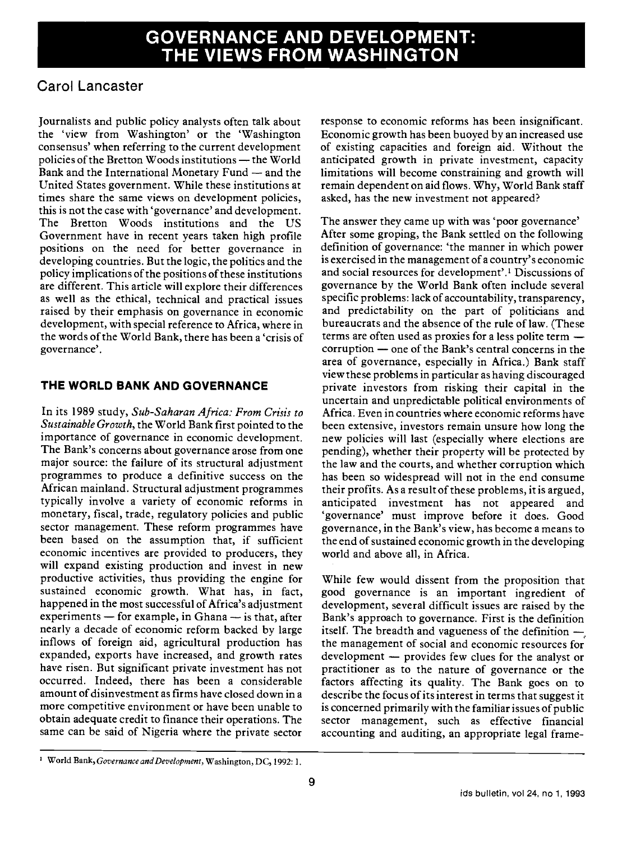# Carol Lancaster

Journalists and public policy analysts often talk about the 'view from Washington' or the 'Washington consensus' when referring to the current development policies of the Bretton Woods institutions - the World Bank and the International Monetary Fund - and the United States government. While these institutions at times share the same views on development policies, this is not the case with 'governance' and development. The Bretton Woods institutions and the US Government have in recent years taken high profile positions on the need for better governance in developing countries. But the logic, the politics and the policy implications of the positions of these institutions are different. This article will explore their differences as well as the ethical, technical and practical issues raised by their emphasis on governance in economic development, with special reference to Africa, where in the words of the World Bank, there has been a 'crisis of governance'.

# THE WORLD BANK AND GOVERNANCE

In its 1989 study, Sub-Saharan Africa: From Crisis to Sustainable Growth, the World Bank first pointed to the importance of governance in economic development. The Bank's concerns about governance arose from one major source: the failure of its structural adjustment programmes to produce a definitive success on the African mainland. Structural adjustment programmes typically involve a variety of economic reforms in monetary, fiscal, trade, regulatory policies and public sector management. These reform programmes have been based on the assumption that, if sufficient economic incentives are provided to producers, they will expand existing production and invest in new productive activities, thus providing the engine for sustained economic growth. What has, in fact, happened in the most successful of Africa's adjustment experiments  $-$  for example, in Ghana  $-$  is that, after nearly a decade of economic reform backed by large inflows of foreign aid, agricultural production has expanded, exports have increased, and growth rates have risen. But significant private investment has not occurred. Indeed, there has been a considerable amount of disinvestment as firms have closed down in a more competitive environment or have been unable to obtain adequate credit to finance their operations. The same can be said of Nigeria where the private sector

response to economic reforms has been insignificant. Economic growth has been buoyed by an increased use of existing capacities and foreign aid. Without the anticipated growth in private investment, capacity limitations will become constraining and growth will remain dependent on aid flows. Why, World Bank staff asked, has the new investment not appeared?

The answer they came up with was 'poor governance' After some groping, the Bank settled on the following definition of governance: 'the manner in which power is exercised in the management of a country's economic and social resources for development'.1 Discussions of governance by the World Bank often include several specific problems: lack of accountability, transparency, and predictability on the part of politicians and bureaucrats and the absence of the rule of law. (These terms are often used as proxies for a less polite term  $$ corruption - one of the Bank's central concerns in the area of governance, especially in Africa.) Bank staff view these problems in particular as having discouraged private investors from risking their capital in the uncertain and unpredictable political environments of Africa. Even in countries where economic reforms have been extensive, investors remain unsure how long the new policies will last (especially where elections are pending), whether their property will be protected by the law and the courts, and whether corruption which has been so widespread will not in the end consume their profits. As a result of these problems, it is argued, anticipated investment has not appeared and 'governance' must improve before it does. Good governance, in the Bank's view, has become a means to the end of sustained economic growth in the developing world and above all, in Africa.

While few would dissent from the proposition that good governance is an important ingredient of development, several difficult issues are raised by the Bank's approach to governance. First is the definition itself. The breadth and vagueness of the definition  $-$ , the management of social and economic resources for development  $-$  provides few clues for the analyst or practitioner as to the nature of governance or the factors affecting its quality. The Bank goes on to describe the focus of its interest in terms that suggest it is concerned primarily with the familiar issues of public sector management, such as effective financial accounting and auditing, an appropriate legal frame-

World Bank, Governance and Development, Washington, DC, 1992: 1.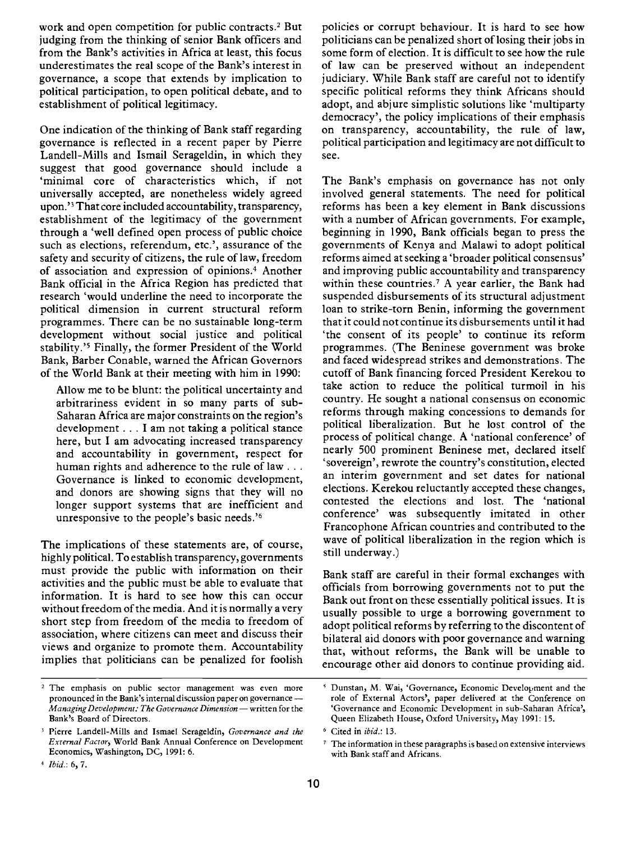work and open competition for public contracts.2 But judging from the thinking of senior Bank officers and from the Bank's activities in Africa at least, this focus underestimates the real scope of the Bank's interest in governance, a scope that extends by implication to political participation, to open political debate, and to establishment of political legitimacy.

One indication of the thinking of Bank staff regarding governance is reflected in a recent paper by Pierre Landell-Mills and Ismail Serageldin, in which they suggest that good governance should include a 'minimal core of characteristics which, if not universally accepted, are nonetheless widely agreed upon.'3 That core included accountability, transparency, establishment of the legitimacy of the government through a 'well defined open process of public choice such as elections, referendum, etc.', assurance of the safety and security of citizens, the rule of law, freedom of association and expression of opinions.4 Another Bank official in the Africa Region has predicted that research 'would underline the need to incorporate the political dimension in current structural reform programmes. There can be no sustainable long-term development without social justice and political stability.'5 Finally, the former President of the World Bank, Barber Conable, warned the African Governors of the World Bank at their meeting with him in 1990:

Allow me to be blunt: the political uncertainty and arbitrariness evident in so many parts of sub-Saharan Africa are major constraints on the region's development . . . I am not taking a political stance here, but I am advocating increased transparency and accountability in government, respect for human rights and adherence to the rule of law . . . Governance is linked to economic development, and donors are showing signs that they will no longer support systems that are inefficient and unresponsive to the people's basic needs.'6

The implications of these statements are, of course, highly political. To establish transparency, governments must provide the public with information on their activities and the public must be able to evaluate that information. It is hard to see how this can occur without freedom of the media. And it is normally a very short step from freedom of the media to freedom of association, where citizens can meet and discuss their views and organize to promote them. Accountability implies that politicians can be penalized for foolish policies or corrupt behaviour. It is hard to see how politicians can be penalized short of losing their jobs in some form of election. It is difficult to see how the rule of law can be preserved without an independent judiciary. While Bank staff are careful not to identify specific political reforms they think Africans should adopt, and abjure simplistic solutions like 'multiparty democracy', the policy implications of their emphasis on transparency, accountability, the rule of law, political participation and legitimacy are not difficult to see.

The Bank's emphasis on governance has not only involved general statements. The need for political reforms has been a key element in Bank discussions with a number of African governments. For example, beginning in 1990, Bank officials began to press the governments of Kenya and Malawi to adopt political reforms aimed at seeking a 'broader political consensus' and improving public accountability and transparency within these countries.7 A year earlier, the Bank had suspended disbursements of its structural adjustment loan to strike-torn Benin, informing the government that it could not continue its disbursements until it had 'the consent of its people' to continue its reform programmes. (The Beninese government was broke and faced widespread strikes and demonstrations. The cutoff of Bank financing forced President Kerekou to take action to reduce the political turmoil in his country. He sought a national consensus on economic reforms through making concessions to demands for political liberalization. But he lost control of the process of political change. A 'national conference' of nearly 500 prominent Beninese met, declared itself 'sovereign', rewrote the country's constitution, elected an interim government and set dates for national elections. Kerekou reluctantly accepted these changes, contested the elections and lost. The 'national conference' was subsequently imitated in other Francophone African countries and contributed to the wave of political liberalization in the region which is still underway.)

Bank staff are careful in their formal exchanges with officials from borrowing governments not to put the Bank out front on these essentially political issues. It is usually possible to urge a borrowing government to adopt political reforms by referring to the discontent of bilateral aid donors with poor governance and warning that, without reforms, the Bank will be unable to encourage other aid donors to continue providing aid.

<sup>&</sup>lt;sup>2</sup> The emphasis on public sector management was even more pronounced in the Bank's internal discussion paper on governance -Managing Development: The Governance Dimension - written for the Bank's Board of Directors.

<sup>&</sup>lt;sup>3</sup> Pierre Landell-Mills and Ismael Serageldin, Governance and the External Factor, World Bank Annual Conference on Development Economics, Washington, DC, 1991: 6.

Ibid.: 6, 7.

Dunstan, M. Wai, 'Governance, Economic Development and the role of External Actors', paper delivered at the Conference on 'Governance and Economic Development in sub-Saharan Africa', Queen Elizabeth House, Oxford University, May 1991: 15.

Cited in ibid.: 13.

<sup>7</sup> The information in these paragraphs is based on extensive interviews with Bank staff and Africans.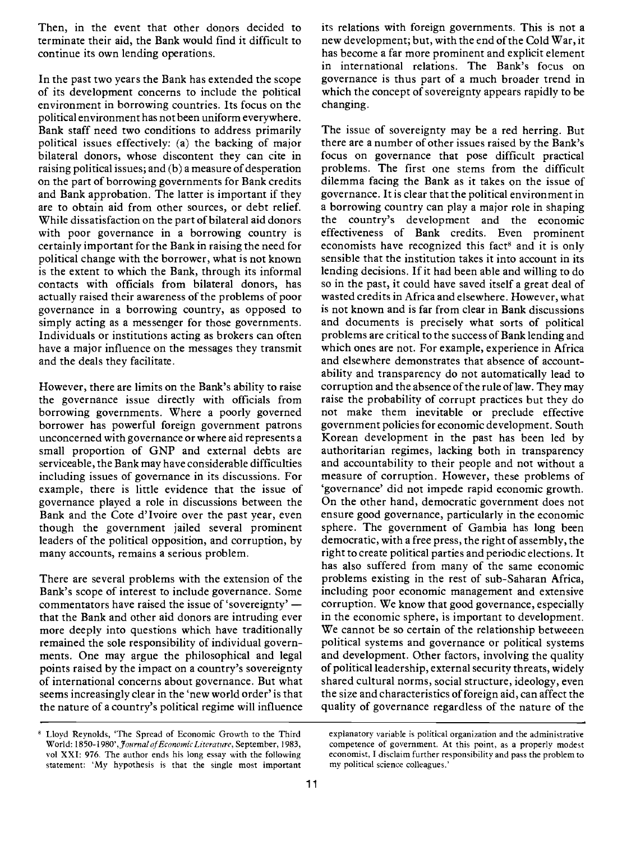Then, in the event that other donors decided to terminate their aid, the Bank would find it difficult to continue its own lending operations.

In the past two years the Bank has extended the scope of its development concerns to include the political environment in borrowing countries. Its focus on the political environment has not been uniform everywhere. Bank staff need two conditions to address primarily political issues effectively: (a) the backing of major bilateral donors, whose discontent they can cite in raising political issues; and (b) a measure of desperation on the part of borrowing governments for Bank credits and Bank approbation. The latter is important if they are to obtain aid from other sources, or debt relief. While dissatisfaction on the part of bilateral aid donors with poor governance in a borrowing country is certainly important for the Bank in raising the need for political change with the borrower, what is not known is the extent to which the Bank, through its informal contacts with officials from bilateral donors, has actually raised their awareness of the problems of poor governance in a borrowing country, as opposed to simply acting as a messenger for those governments. Individuals or institutions acting as brokers can often have a major influence on the messages they transmit and the deals they facilitate.

However, there are limits on the Bank's ability to raise the governance issue directly with officials from borrowing governments. Where a poorly governed borrower has powerful foreign government patrons unconcerned with governance or where aid represents a small proportion of GNP and external debts are serviceable, the Bank may have considerable difficulties including issues of governance in its discussions. For example, there is little evidence that the issue of governance played a role in discussions between the Bank and the Cote d'Ivoire over the past year, even though the government jailed several prominent leaders of the political opposition, and corruption, by many accounts, remains a serious problem.

There are several problems with the extension of the Bank's scope of interest to include governance. Some commentators have raised the issue of 'sovereignty' that the Bank and other aid donors are intruding ever more deeply into questions which have traditionally remained the sole responsibility of individual governments. One may argue the philosophical and legal points raised by the impact on a country's sovereignty of international concerns about governance. But what seems increasingly clear in the 'new world order' is that the nature of a country's political regime will influence its relations with foreign governments. This is not a new development; but, with the end of the Cold War, it has become a far more prominent and explicit element in international relations. The Bank's focus on governance is thus part of a much broader trend in which the concept of sovereignty appears rapidly to be changing.

The issue of sovereignty may be a red herring. But there are a number of other issues raised by the Bank's focus on governance that pose difficult practical problems. The first one stems from the difficult dilemma facing the Bank as it takes on the issue of governance. It is clear that the political environment in a borrowing country can play a major role in shaping the country's development and the economic effectiveness of Bank credits. Even prominent economists have recognized this fact<sup>8</sup> and it is only sensible that the institution takes it into account in its lending decisions. If it had been able and willing to do so in the past, it could have saved itself a great deal of wasted credits in Africa and elsewhere. However, what is not known and is far from clear in Bank discussions and documents is precisely what sorts of political problems are critical to the success of Bank lending and which ones are not. For example, experience in Africa and elsewhere demonstrates that absence of accountability and transparency do not automatically lead to corruption and the absence of the rule of law. They may raise the probability of corrupt practices but they do not make them inevitable or preclude effective government policies for economic development. South Korean development in the past has been led by authoritarian regimes, lacking both in transparency and accountability to their people and not without a measure of corruption. However, these problems of 'governance' did not impede rapid economic growth. On the other hand, democratic government does not ensure good governance, particularly in the economic sphere. The government of Gambia has long been democratic, with a free press, the right of assembly, the right to create political parties and periodic elections. It has also suffered from many of the same economic problems existing in the rest of sub-Saharan Africa, including poor economic management and extensive corruption. We know that good governance, especially in the economic sphere, is important to development. We cannot be so certain of the relationship betweeen political systems and governance or political systems and development. Other factors, involving the quality of political leadership, external security threats, widely shared cultural norms, social structure, ideology, even the size and characteristics of foreign aid, can affect the quality of governance regardless of the nature of the

Lloyd Reynolds, 'The Spread of Economic Growth to the Third World: 1850-1980', Journal of Economic Literature, September, 1983, vol XXI: 976. The author ends his long essay with the following statement: 'My hypothesis is that the single most important

explanatory variable is political organization and the administrative competence of government. At this point, as a properly modest economist, I disclaim further responsibility and pass the problem to my political science colleagues.'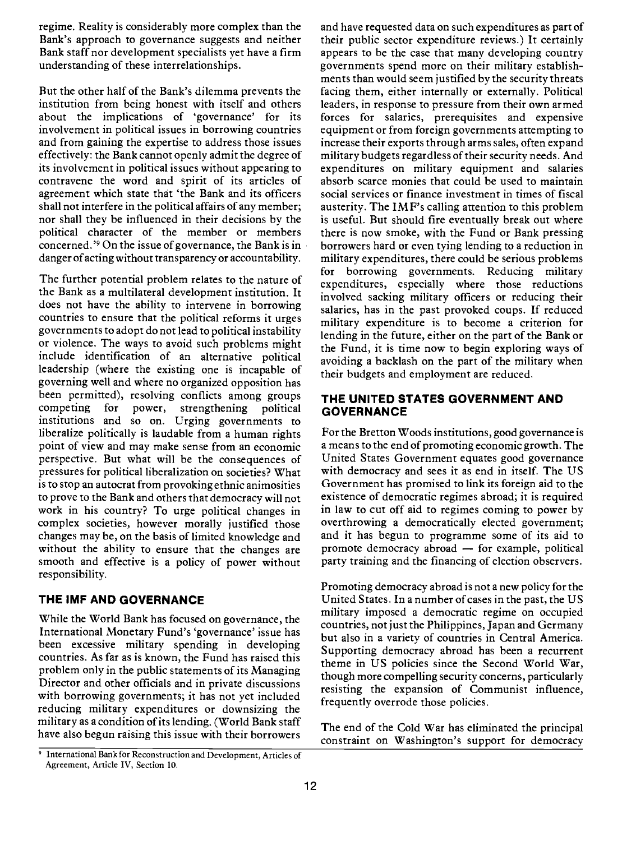regime. Reality is considerably more complex than the Bank's approach to governance suggests and neither Bank staff nor development specialists yet have a firm understanding of these interrelationships.

But the other half of the Bank's dilemma prevents the institution from being honest with itself and others about the implications of 'governance' for its involvement in political issues in borrowing countries and from gaining the expertise to address those issues effectively: the Bank cannot openly admit the degree of its involvement in political issues without appearing to contravene the word and spirit of its articles of agreement which state thät 'the Bank and its officers shall not interfere in the political affairs of any member; nor shall they be influenced in their decisions by the political character of the member or members concerned.'9 On the issue of governance, the Bank is in danger of acting without transparency or accountability.

The further potential problem relates to the nature of the Bank as a multilateral development institution. It does not have the ability to intervene in borrowing countries to ensure that the political reforms it urges governments to adopt do not lead to political instability or violence. The ways to avoid such problems might include identification of an alternative political leadership (where the existing one is incapable of governing well and where no organized opposition has been permitted), resolving conflicts among groups<br>competing for power, strengthening political competing for power, strengthening political institutions and so on. Urging governments to liberalize politically is laudable from a human rights point of view and may make sense from an economic perspective. But what will be the consequences of pressures for political liberalization on societies? What isto stop an autocrat from provoking ethnic animosities to prove to the Bank and others that democracy will not work in his country? To urge political changes in complex societies, however morally justified those changes may be, on the basis of limited knowledge and without the ability to ensure that the changes are smooth and effective is a policy of power without responsibility.

## THE IMF AND GOVERNANCE

While the World Bank has focused on governance, the International Monetary Fund's 'governance' issue has been excessive military spending in developing countries. As far as is known, the Fund has raised this problem only in the public statements of its Managing Director and other officials and in private discussions with borrowing governments; it has not yet included reducing military expenditures or downsizing the military as a condition of its lending. (World Bank staff have also begun raising this issue with their borrowers

and have requested data on such expenditures as part of their public sector expenditure reviews.) It certainly appears to be the case that many developing country governments spend more on their military establishments than would seem justified by the security threats facing them, either internally or externally. Political leaders, in response to pressure from their own armed forces for salaries, prerequisites and expensive equipment or from foreign governments attempting to increase their exports through arms sales, often expand military budgets regardless of their security needs. And expenditures on military equipment and salaries absorb scarce monies that could be used to maintain social services or finance investment in times of fiscal austerity. The IMF's calling attention to this problem is useful. But should fire eventually break out where there is now smoke, with the Fund or Bank pressing borrowers hard or even tying lending to a reduction in military expenditures, there could be serious problems for borrowing governments. Reducing military expenditures, especially where those reductions involved sacking military officers or reducing their salaries, has in the past provoked coups. If reduced military expenditure is to become a criterion for lending in the future, either on the part of the Bank or the Fund, it is time now to begin exploring ways of avoiding a backlash on the part of the military when their budgets and employment are reduced.

#### THE UNITED STATES GOVERNMENT ANO **GOVERNANCE**

For the Bretton Woods institutions, good governance is a means to the end of promoting economic growth. The United States Government equates good governance with democracy and sees it as end in itself. The US Government has promised to link its foreign aid to the existence of democratic regimes abroad; it is required in law to cut off aid to regimes coming to power by overthrowing a democratically elected government; and it has begun to programme some of its aid to promote democracy abroad  $-$  for example, political party training and the financing of election observers.

Promoting democracy abroad is not a new policy for the United States. In a number of cases in the past, the US military imposed a democratic regime on occupied countries, not just the Philippines, Japan and Germany but also in a variety of countries in Central America. Supporting democracy abroad has been a recurrent theme in US policies since the Second World War, though more compelling security concerns, particularly resisting the expansion of Communist influence, frequently overrode those policies.

The end of the Cold War has eliminated the principal constraint on Washington's support for democracy

<sup>&</sup>lt;sup>9</sup> International Bank for Reconstruction and Development, Articles of Agreement, Article IV, Section 10.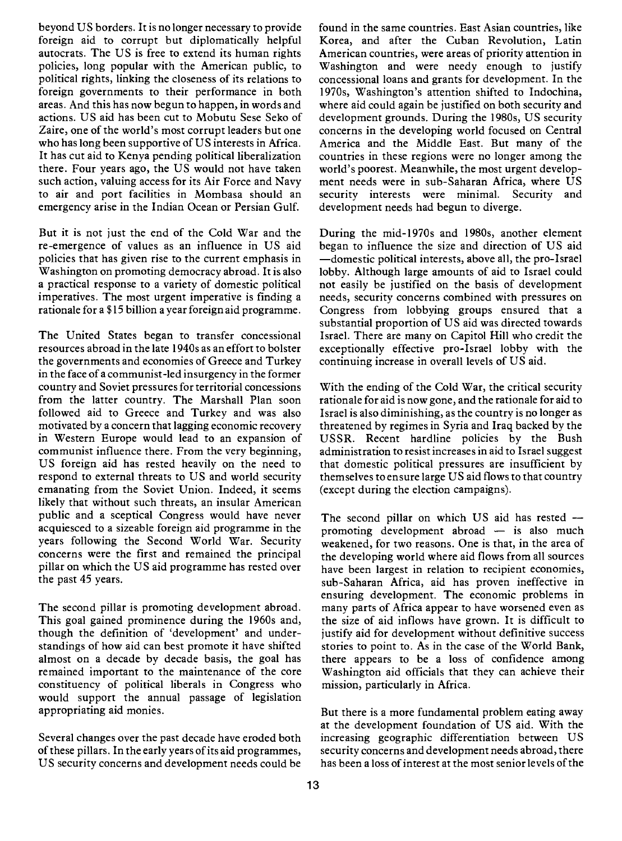beyond US borders. It is no longer necessary to provide foreign aid to corrupt but diplomatically helpful autocrats. The US is free to extend its human rights policies, long popular with the American public, to political rights, linking the closeness of its relations to foreign governments to their performance in both areas. And this has now begun to happen, in words and actions. US aid has been cut to Mobutu Sese Seko of Zaire, one of the world's most corrupt leaders but one who has long been supportive of US interests in Africa. It has cut aid to Kenya pending political liberalization there. Four years ago, the US would not have taken such action, valuing access for its Air Force and Navy to air and port facilities in Mombasa should an emergency arise in the Indian Ocean or Persian Gulf.

But it is not just the end of the Cold War and the re-emergence of values as an influence in US aid policies that has given rise to the current emphasis in Washington on promoting democracy abroad. It is also a practical response to a variety of domestic political imperatives. The most urgent imperative is finding a rationale for a \$15 billion a year foreign aid programme.

The United States began to transfer concessional resources abroad in the late 1940s as an effort to bolster the governments and economies of Greece and Turkey in the face of a communist-led insurgency in the former country and Soviet pressures for territorial concessions from the latter country. The Marshall Plan soon followed aid to Greece and Turkey and was also motivated by a concern that lagging economic recovery in Western Europe would lead to an expansion of communist influence there. From the very beginning, US foreign aid has rested heavily on the need to respond to external threats to US and world security emanating from the Soviet Union. Indeed, it seems likely that without such threats, an insular American public and a sceptical Congress would have never acquiesced to a sizeable foreign aid programme in the years following the Second World War. Security concerns were the first and remained the principal pillar on which the US aid programme has rested over the past 45 years.

The second pillar is promoting development abroad. This goal gained prominence during the l960s and, though the definition of 'development' and understandings of how aid can best promote it have shifted almost on a decade by decade basis, the goal has remained important to the maintenance of the core constituency of political liberals in Congress who would support the annual passage of legislation appropriating aid monies.

Several changes over the past decade have eroded both of these pillars. In the early years of its aid programmes, US security concerns and development needs could be

found in the same countries. East Asian countries, like Korea, and after the Cuban Revolution, Latin American countries, were areas of priority attention in Washington and were needy enough to justify concessional loans and grants for development. In the 1970s, Washington's attention shifted to Indochina, where aid could again be justified on both security and development grounds. During the l980s, US security concerns in the developing world focused on Central America and the Middle East. But many of the countries in these regions were no longer among the world's poorest. Meanwhile, the most urgent development needs were in sub-Saharan Africa, where US security interests were minimal. Security and development needs had begun to diverge.

During the mid-l970s and 1980s, another element began to influence the size and direction of US aid domestic political interests, above all, the pro-Israel lobby. Although large amounts of aid to Israel could not easily be justified on the basis of development needs, security concerns combined with pressures on Congress from lobbying groups ensured that a substantial proportion of US aid was directed towards Israel. There are many on Capitol Hill who credit the exceptionally effective pro-Israel lobby with the continuing increase in overall levels of US aid.

With the ending of the Cold War, the critical security rationale for aid is now gone, and the rationale for aid to Israel is also diminishing, as the country is no longer as threatened by regimes in Syria and Iraq backed by the USSR. Recent hardline policies by the Bush administration to resist increases in aid to Israel suggest that domestic political pressures are insufficient by themselves to ensure large US aid flows to that country (except during the election campaigns).

The second pillar on which US aid has rested  $$ promoting development abroad  $-$  is also much weakened, for two reasons. One is that, in the area of the developing world where aid flows from all sources have been largest in relation to recipient economies, sub-Saharan Africa, aid has proven ineffective in ensuring development. The economic problems in many parts of Africa appear to have worsened even as the size of aid inflows have grown. It is difficult to justify aid for development without definitive success stories to point to. As in the case of the World Bank, there appears to be a loss of confidence among Washington aid officials that they can achieve their mission, particularly in Africa.

But there is a more fundamental problem eating away at the development foundation of US aid. With the increasing geographic differentiation between US security concerns and development needs abroad, there has been a loss of interest at the most senior levels of the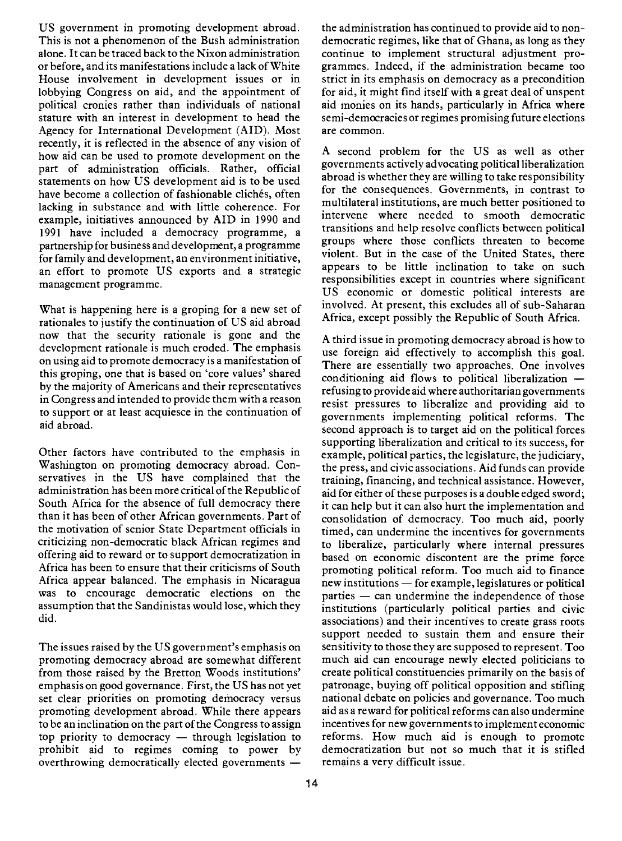US government in promoting development abroad. This is not a phenomenon of the Bush administration alone. It can be traced back to the Nixon administration or before, and its manifestations include a lack of White House involvement in development issues or in lobbying Congress on aid, and the appointment of political cronies rather than individuals of national stature with an interest in development to head the Agency for International Development (AID). Most recently, it is reflected in the absence of any vision of how aid can be used to promote development on the part of administration officials. Rather, official statements on how US development aid is to be used have become a collection of fashionable clichés, often lacking in substance and with little coherence. For example, initiatives announced by AID in 1990 and 1991 have included a democracy programme, a partnership for business and development, a programme for family and development, an environment initiative, an effort to promote US exports and a strategic management programme.

What is happening here is a groping for a new set of rationales to justify the continuation of US aid abroad now that the security rationale is gone and the development rationale is much eroded. The emphasis on using aid to promote democracy is a manifestation of this groping, one that is based on 'core values' shared by the majority of Americans and their representatives in Congress and intended to provide them with a reason to support or at least acquiesce in the continuation of aid abroad.

Other factors have contributed to the emphasis in Washington on promoting democracy abroad. Conservatives in the US have complained that the administration has been more critical of the Republic of South Africa for the absence of full democracy there than it has been of other African governments. Part of the motivation of senior State Department officials in criticizing non-democratic black African regimes and offering aid to reward or to support democratization in Africa has been to ensure that their criticisms of South Africa appear balanced. The emphasis in Nicaragua was to encourage democratic elections on the assumption that the Sandinistas would lose, which they did.

The issues raised by the US government's emphasis on promoting democracy abroad are somewhat different from those raised by the Bretton Woods institutions' emphasis on good governance. First, the US has not yet set clear priorities on promoting democracy versus promoting development abroad. While there appears to be an inclination on the part of the Congress to assign top priority to democracy  $-$  through legislation to prohibit aid to regimes coming to power by overthrowing democratically elected governments -

the administration has continued to provide aid to nondemocratic regimes, like that of Ghana, as long as they continue to implement structural adjustment programmes. Indeed, if the administration became too strict in its emphasis on democracy as a precondition for aid, it might find itself with a great deal of unspent aid monies on its hands, particularly in Africa where semi-democracies or regimes promising future elections are common.

A second problem for the US as well as other governments actively advocating political liberalization abroad is whether they are willing to take responsibility for the consequences. Governments, in contrast to multilateral institutions, are much better positioned to intervene where needed to smooth democratic transitions and help resolve conflicts between political groups where those conflicts threaten to become violent. But in the case of the United States, there appears to be little inclination to take on such responsibilities except in countries where significant US economic or domestic political interests are involved. At present, this excludes all of sub-Saharan Africa, except possibly the Republic of South Africa.

A third issue in promoting democracy abroad is how to use foreign aid effectively to accomplish this goal. There are essentially two approaches. One involves conditioning aid flows to political liberalization  $$ refusing to provide aid where authoritarian governments resist pressures to liberalize and providing aid to governments implementing political reforms. The second approach is to target aid on the political forces supporting liberalization and critical to its success, for example, political parties, the legislature, the judiciary, the press, and civic associations. Aid funds can provide training, financing, and technical assistance. However, aid for either of these purposes is a double edged sword; it can help but it can also hurt the implementation and consolidation of democracy. Too much aid, poorly timed, can undermine the incentives for governments to liberalize, particularly where internal pressures based on economic discontent are the prime force promoting political reform. Too much aid to finance new institutions - for example, legislatures or political  $parties$   $-$  can undermine the independence of those institutions (particularly political parties and civic associations) and their incentives to create grass roots support needed to sustain them and ensure their sensitivity to those they are supposed to represent. Too much aid can encourage newly elected politicians to create political constituencies primarily on the basis of patronage, buying off political opposition and stifling national debate on policies and governance. Too much aid as a reward for political reforms can also undermine incentives for new governments to implement economic reforms. How much aid is enough to promote democratization but not so much that it is stifled remains a very difficult issue.